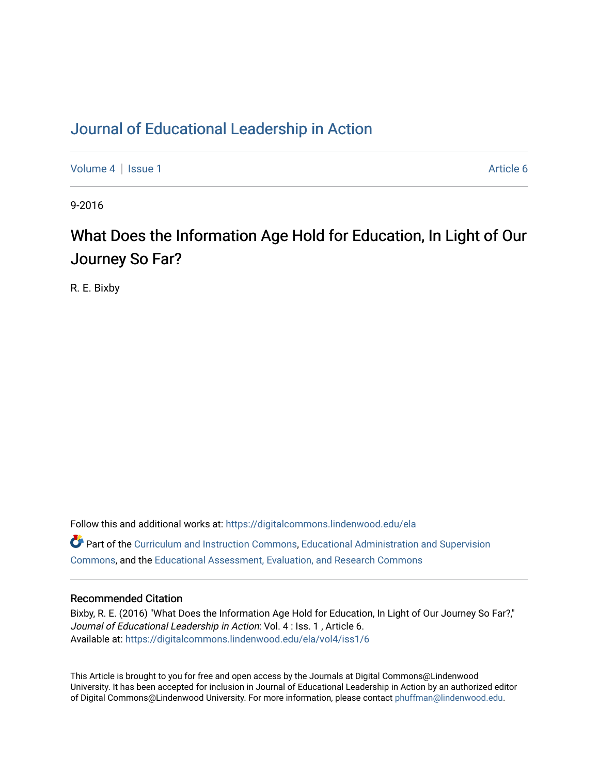### [Journal of Educational Leadership in Action](https://digitalcommons.lindenwood.edu/ela)

[Volume 4](https://digitalcommons.lindenwood.edu/ela/vol4) | [Issue 1](https://digitalcommons.lindenwood.edu/ela/vol4/iss1) Article 6

9-2016

## What Does the Information Age Hold for Education, In Light of Our Journey So Far?

R. E. Bixby

Follow this and additional works at: [https://digitalcommons.lindenwood.edu/ela](https://digitalcommons.lindenwood.edu/ela?utm_source=digitalcommons.lindenwood.edu%2Fela%2Fvol4%2Fiss1%2F6&utm_medium=PDF&utm_campaign=PDFCoverPages)  Part of the [Curriculum and Instruction Commons,](http://network.bepress.com/hgg/discipline/786?utm_source=digitalcommons.lindenwood.edu%2Fela%2Fvol4%2Fiss1%2F6&utm_medium=PDF&utm_campaign=PDFCoverPages) [Educational Administration and Supervision](http://network.bepress.com/hgg/discipline/787?utm_source=digitalcommons.lindenwood.edu%2Fela%2Fvol4%2Fiss1%2F6&utm_medium=PDF&utm_campaign=PDFCoverPages)  [Commons](http://network.bepress.com/hgg/discipline/787?utm_source=digitalcommons.lindenwood.edu%2Fela%2Fvol4%2Fiss1%2F6&utm_medium=PDF&utm_campaign=PDFCoverPages), and the [Educational Assessment, Evaluation, and Research Commons](http://network.bepress.com/hgg/discipline/796?utm_source=digitalcommons.lindenwood.edu%2Fela%2Fvol4%2Fiss1%2F6&utm_medium=PDF&utm_campaign=PDFCoverPages)

#### Recommended Citation

Bixby, R. E. (2016) "What Does the Information Age Hold for Education, In Light of Our Journey So Far?," Journal of Educational Leadership in Action: Vol. 4 : Iss. 1, Article 6. Available at: [https://digitalcommons.lindenwood.edu/ela/vol4/iss1/6](https://digitalcommons.lindenwood.edu/ela/vol4/iss1/6?utm_source=digitalcommons.lindenwood.edu%2Fela%2Fvol4%2Fiss1%2F6&utm_medium=PDF&utm_campaign=PDFCoverPages) 

This Article is brought to you for free and open access by the Journals at Digital Commons@Lindenwood University. It has been accepted for inclusion in Journal of Educational Leadership in Action by an authorized editor of Digital Commons@Lindenwood University. For more information, please contact [phuffman@lindenwood.edu](mailto:phuffman@lindenwood.edu).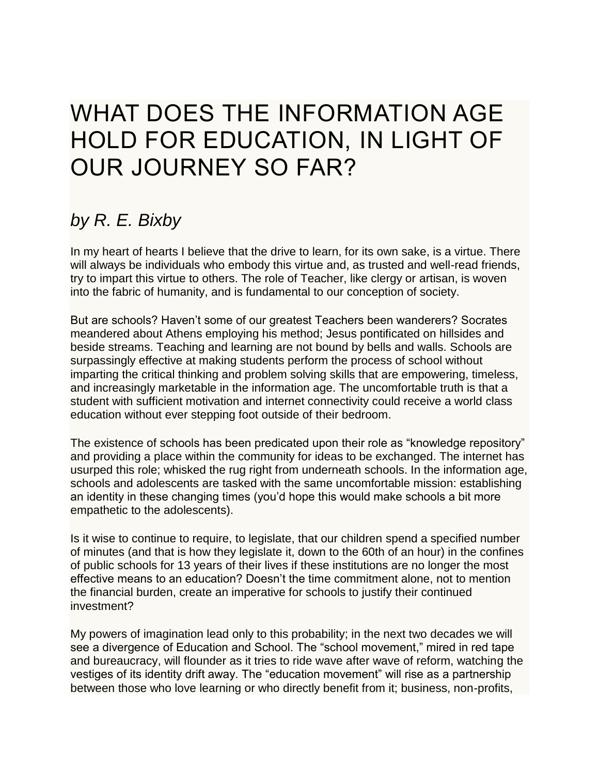# WHAT DOES THE INFORMATION AGE HOLD FOR EDUCATION, IN LIGHT OF OUR JOURNEY SO FAR?

## *by R. E. Bixby*

In my heart of hearts I believe that the drive to learn, for its own sake, is a virtue. There will always be individuals who embody this virtue and, as trusted and well-read friends, try to impart this virtue to others. The role of Teacher, like clergy or artisan, is woven into the fabric of humanity, and is fundamental to our conception of society.

But are schools? Haven't some of our greatest Teachers been wanderers? Socrates meandered about Athens employing his method; Jesus pontificated on hillsides and beside streams. Teaching and learning are not bound by bells and walls. Schools are surpassingly effective at making students perform the process of school without imparting the critical thinking and problem solving skills that are empowering, timeless, and increasingly marketable in the information age. The uncomfortable truth is that a student with sufficient motivation and internet connectivity could receive a world class education without ever stepping foot outside of their bedroom.

The existence of schools has been predicated upon their role as "knowledge repository" and providing a place within the community for ideas to be exchanged. The internet has usurped this role; whisked the rug right from underneath schools. In the information age, schools and adolescents are tasked with the same uncomfortable mission: establishing an identity in these changing times (you'd hope this would make schools a bit more empathetic to the adolescents).

Is it wise to continue to require, to legislate, that our children spend a specified number of minutes (and that is how they legislate it, down to the 60th of an hour) in the confines of public schools for 13 years of their lives if these institutions are no longer the most effective means to an education? Doesn't the time commitment alone, not to mention the financial burden, create an imperative for schools to justify their continued investment?

My powers of imagination lead only to this probability; in the next two decades we will see a divergence of Education and School. The "school movement," mired in red tape and bureaucracy, will flounder as it tries to ride wave after wave of reform, watching the vestiges of its identity drift away. The "education movement" will rise as a partnership between those who love learning or who directly benefit from it; business, non-profits,